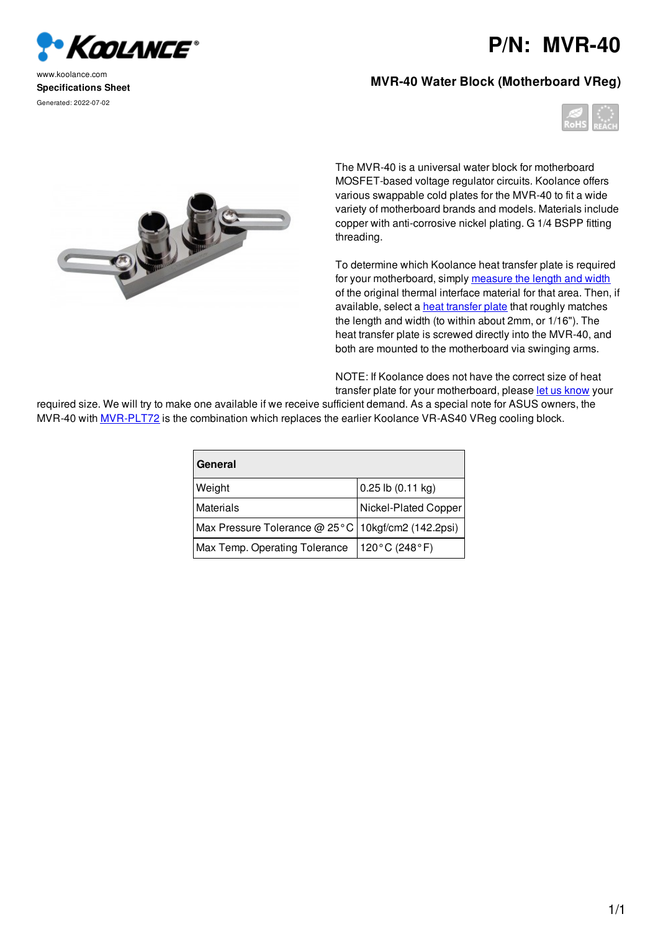

www.koolance.com **Specifications Sheet** Generated: 2022-07-02

## **P/N: MVR-40**

## **MVR-40 Water Block (Motherboard VReg)**





The MVR-40 is a universal water block for motherboard MOSFET-based voltage regulator circuits. Koolance offers various swappable cold plates for the MVR-40 to fit a wide variety of motherboard brands and models. Materials include copper with anti-corrosive nickel plating. G 1/4 BSPP fitting threading.

To determine which Koolance heat transfer plate is required for your motherboard, simply measure the length and width of the original thermal interface material for that area. Then, if available, select a **heat transfer plate** that roughly matches the length and width (to within about 2mm, or 1/16"). The heat transfer plate is screwed directly into the MVR-40, and both are mounted to the motherboard via swinging arms.

NOTE: If Koolance does not have the correct size of heat transfer plate for your motherboard, please let us know your

required size. We will try to make one available if we receive sufficient demand. As a special note for ASUS owners, the MVR-40 with MVR-PLT72 is the combination which replaces the earlier Koolance VR-AS40 VReg cooling block.

| General                                              |                       |
|------------------------------------------------------|-----------------------|
| Weight                                               | $0.25$ lb $(0.11$ kg) |
| <b>Materials</b>                                     | Nickel-Plated Copper  |
| Max Pressure Tolerance @ 25°C   10kgf/cm2 (142.2psi) |                       |
| Max Temp. Operating Tolerance                        | 120°C (248°F)         |